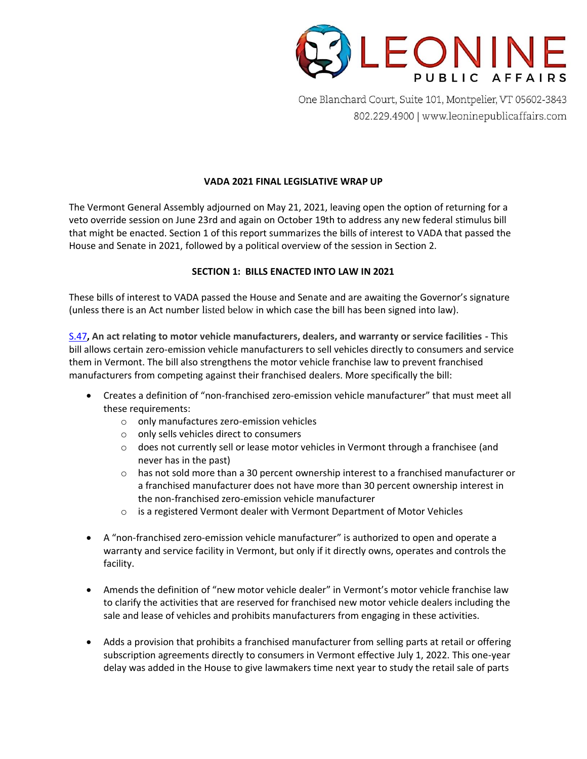

One Blanchard Court, Suite 101, Montpelier, VT 05602-3843 802.229.4900 | www.leoninepublicaffairs.com

## **VADA 2021 FINAL LEGISLATIVE WRAP UP**

The Vermont General Assembly adjourned on May 21, 2021, leaving open the option of returning for a veto override session on June 23rd and again on October 19th to address any new federal stimulus bill that might be enacted. Section 1 of this report summarizes the bills of interest to VADA that passed the House and Senate in 2021, followed by a political overview of the session in Section 2.

## **SECTION 1: BILLS ENACTED INTO LAW IN 2021**

These bills of interest to VADA passed the House and Senate and are awaiting the Governor's signature (unless there is an Act number listed below in which case the bill has been signed into law).

[S.47](https://legislature.vermont.gov/Documents/2022/Docs/BILLS/S-0047/S-0047%20As%20Passed%20by%20Both%20House%20and%20Senate%20Unofficial.pdf)**, An act relating to motor vehicle manufacturers, dealers, and warranty or service facilities -** This bill allows certain zero-emission vehicle manufacturers to sell vehicles directly to consumers and service them in Vermont. The bill also strengthens the motor vehicle franchise law to prevent franchised manufacturers from competing against their franchised dealers. More specifically the bill:

- Creates a definition of "non-franchised zero-emission vehicle manufacturer" that must meet all these requirements:
	- o only manufactures zero-emission vehicles
	- o only sells vehicles direct to consumers
	- $\circ$  does not currently sell or lease motor vehicles in Vermont through a franchisee (and never has in the past)
	- $\circ$  has not sold more than a 30 percent ownership interest to a franchised manufacturer or a franchised manufacturer does not have more than 30 percent ownership interest in the non-franchised zero-emission vehicle manufacturer
	- $\circ$  is a registered Vermont dealer with Vermont Department of Motor Vehicles
- A "non-franchised zero-emission vehicle manufacturer" is authorized to open and operate a warranty and service facility in Vermont, but only if it directly owns, operates and controls the facility.
- Amends the definition of "new motor vehicle dealer" in Vermont's motor vehicle franchise law to clarify the activities that are reserved for franchised new motor vehicle dealers including the sale and lease of vehicles and prohibits manufacturers from engaging in these activities.
- Adds a provision that prohibits a franchised manufacturer from selling parts at retail or offering subscription agreements directly to consumers in Vermont effective July 1, 2022. This one-year delay was added in the House to give lawmakers time next year to study the retail sale of parts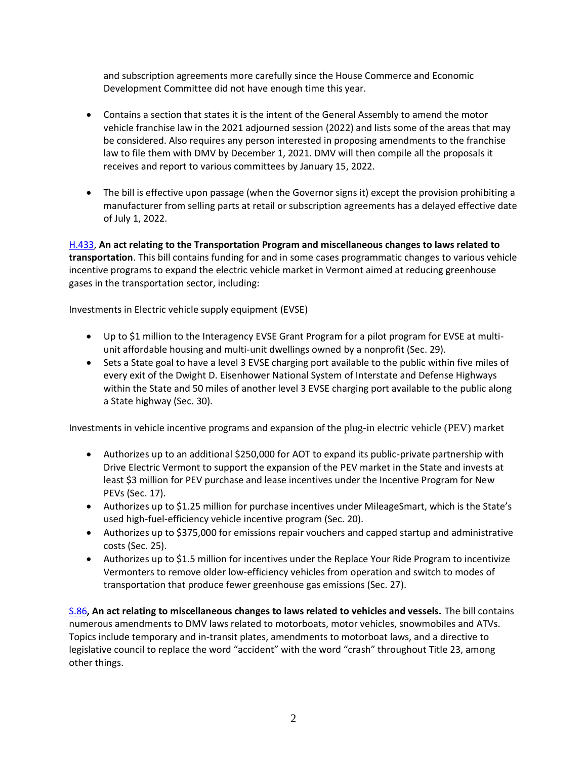and subscription agreements more carefully since the House Commerce and Economic Development Committee did not have enough time this year.

- Contains a section that states it is the intent of the General Assembly to amend the motor vehicle franchise law in the 2021 adjourned session (2022) and lists some of the areas that may be considered. Also requires any person interested in proposing amendments to the franchise law to file them with DMV by December 1, 2021. DMV will then compile all the proposals it receives and report to various committees by January 15, 2022.
- The bill is effective upon passage (when the Governor signs it) except the provision prohibiting a manufacturer from selling parts at retail or subscription agreements has a delayed effective date of July 1, 2022.

[H.433,](https://legislature.vermont.gov/Documents/2022/Docs/BILLS/H-0433/H-0433%20As%20Passed%20by%20Both%20House%20and%20Senate%20Unofficial.pdf) **An act relating to the Transportation Program and miscellaneous changes to laws related to transportation**. This bill contains funding for and in some cases programmatic changes to various vehicle incentive programs to expand the electric vehicle market in Vermont aimed at reducing greenhouse gases in the transportation sector, including:

Investments in Electric vehicle supply equipment (EVSE)

- Up to \$1 million to the Interagency EVSE Grant Program for a pilot program for EVSE at multiunit affordable housing and multi-unit dwellings owned by a nonprofit (Sec. 29).
- Sets a State goal to have a level 3 EVSE charging port available to the public within five miles of every exit of the Dwight D. Eisenhower National System of Interstate and Defense Highways within the State and 50 miles of another level 3 EVSE charging port available to the public along a State highway (Sec. 30).

Investments in vehicle incentive programs and expansion of the plug-in electric vehicle (PEV) market

- Authorizes up to an additional \$250,000 for AOT to expand its public-private partnership with Drive Electric Vermont to support the expansion of the PEV market in the State and invests at least \$3 million for PEV purchase and lease incentives under the Incentive Program for New PEVs (Sec. 17).
- Authorizes up to \$1.25 million for purchase incentives under MileageSmart, which is the State's used high-fuel-efficiency vehicle incentive program (Sec. 20).
- Authorizes up to \$375,000 for emissions repair vouchers and capped startup and administrative costs (Sec. 25).
- Authorizes up to \$1.5 million for incentives under the Replace Your Ride Program to incentivize Vermonters to remove older low-efficiency vehicles from operation and switch to modes of transportation that produce fewer greenhouse gas emissions (Sec. 27).

[S.86](https://legislature.vermont.gov/Documents/2022/Docs/BILLS/S-0086/S-0086%20As%20Passed%20by%20Both%20House%20and%20Senate%20Unofficial.pdf)**, An act relating to miscellaneous changes to laws related to vehicles and vessels.** The bill contains numerous amendments to DMV laws related to motorboats, motor vehicles, snowmobiles and ATVs. Topics include temporary and in-transit plates, amendments to motorboat laws, and a directive to legislative council to replace the word "accident" with the word "crash" throughout Title 23, among other things.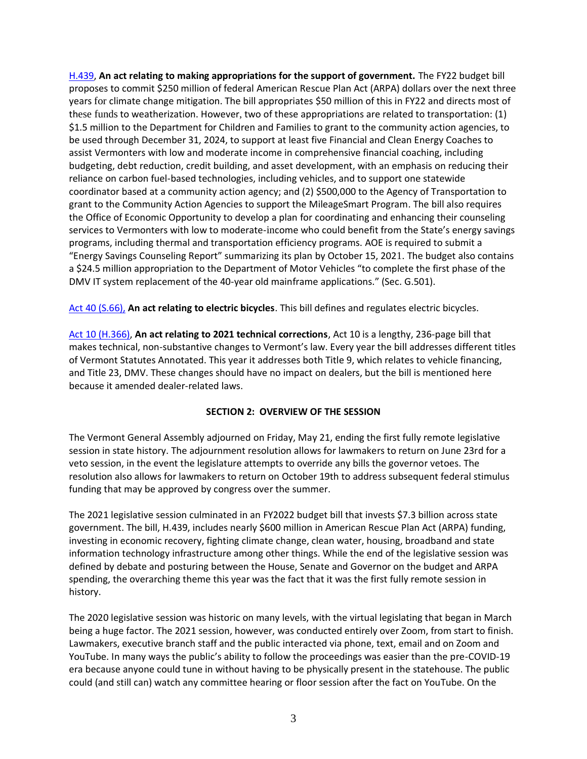[H.439,](https://legislature.vermont.gov/Documents/2022/Docs/BILLS/H-0439/H-0439%20As%20Passed%20by%20Both%20House%20and%20Senate%20Unofficial.pdf) **An act relating to making appropriations for the support of government.** The FY22 budget bill proposes to commit \$250 million of federal American Rescue Plan Act (ARPA) dollars over the next three years for climate change mitigation. The bill appropriates \$50 million of this in FY22 and directs most of these funds to weatherization. However, two of these appropriations are related to transportation: (1) \$1.5 million to the Department for Children and Families to grant to the community action agencies, to be used through December 31, 2024, to support at least five Financial and Clean Energy Coaches to assist Vermonters with low and moderate income in comprehensive financial coaching, including budgeting, debt reduction, credit building, and asset development, with an emphasis on reducing their reliance on carbon fuel-based technologies, including vehicles, and to support one statewide coordinator based at a community action agency; and (2) \$500,000 to the Agency of Transportation to grant to the Community Action Agencies to support the MileageSmart Program. The bill also requires the Office of Economic Opportunity to develop a plan for coordinating and enhancing their counseling services to Vermonters with low to moderate-income who could benefit from the State's energy savings programs, including thermal and transportation efficiency programs. AOE is required to submit a "Energy Savings Counseling Report" summarizing its plan by October 15, 2021. The budget also contains a \$24.5 million appropriation to the Department of Motor Vehicles "to complete the first phase of the DMV IT system replacement of the 40-year old mainframe applications." (Sec. G.501).

[Act 40 \(S.66\),](https://legislature.vermont.gov/Documents/2022/Docs/ACTS/ACT040/ACT040%20As%20Enacted.pdf) **An act relating to electric bicycles**. This bill defines and regulates electric bicycles.

[Act 10 \(H.366\),](https://legislature.vermont.gov/Documents/2022/Docs/ACTS/ACT020/ACT020%20As%20Enacted.pdf) **An act relating to 2021 technical corrections**, Act 10 is a lengthy, 236-page bill that makes technical, non-substantive changes to Vermont's law. Every year the bill addresses different titles of Vermont Statutes Annotated. This year it addresses both Title 9, which relates to vehicle financing, and Title 23, DMV. These changes should have no impact on dealers, but the bill is mentioned here because it amended dealer-related laws.

## **SECTION 2: OVERVIEW OF THE SESSION**

The Vermont General Assembly adjourned on Friday, May 21, ending the first fully remote legislative session in state history. The adjournment resolution allows for lawmakers to return on June 23rd for a veto session, in the event the legislature attempts to override any bills the governor vetoes. The resolution also allows for lawmakers to return on October 19th to address subsequent federal stimulus funding that may be approved by congress over the summer.

The 2021 legislative session culminated in an FY2022 budget bill that invests \$7.3 billion across state government. The bill, H.439, includes nearly \$600 million in American Rescue Plan Act (ARPA) funding, investing in economic recovery, fighting climate change, clean water, housing, broadband and state information technology infrastructure among other things. While the end of the legislative session was defined by debate and posturing between the House, Senate and Governor on the budget and ARPA spending, the overarching theme this year was the fact that it was the first fully remote session in history.

The 2020 legislative session was historic on many levels, with the virtual legislating that began in March being a huge factor. The 2021 session, however, was conducted entirely over Zoom, from start to finish. Lawmakers, executive branch staff and the public interacted via phone, text, email and on Zoom and YouTube. In many ways the public's ability to follow the proceedings was easier than the pre-COVID-19 era because anyone could tune in without having to be physically present in the statehouse. The public could (and still can) watch any committee hearing or floor session after the fact on YouTube. On the